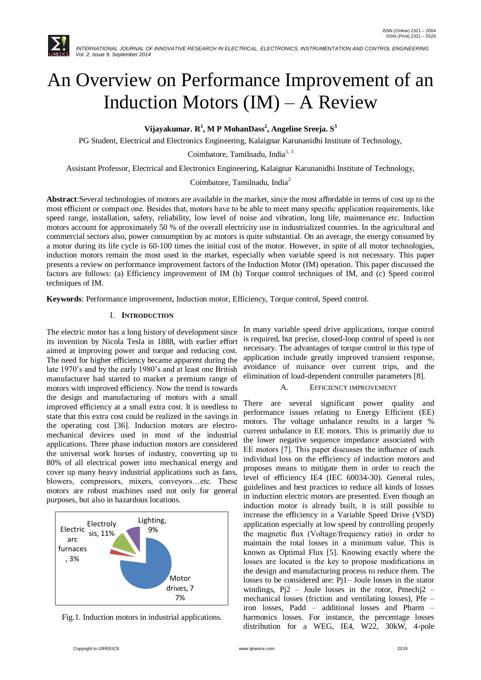

# An Overview on Performance Improvement of an Induction Motors (IM) – A Review

**Vijayakumar. R<sup>1</sup> , M P MohanDass<sup>2</sup> , Angeline Sreeja. S<sup>3</sup>**

PG Student, Electrical and Electronics Engineering, Kalaignar Karunanidhi Institute of Technology,

Coimbatore, Tamilnadu, India<sup>1, 3</sup>

Assistant Professor, Electrical and Electronics Engineering, Kalaignar Karunanidhi Institute of Technology,

Coimbatore, Tamilnadu, India<sup>2</sup>

**Abstract**:Several technologies of motors are available in the market, since the most affordable in terms of cost up to the most efficient or compact one. Besides that, motors have to be able to meet many specific application requirements, like speed range, installation, safety, reliability, low level of noise and vibration, long life, maintenance etc. Induction motors account for approximately 50 % of the overall electricity use in industrialized countries. In the agricultural and commercial sectors also, power consumption by ac motors is quite substantial. On an average, the energy consumed by a motor during its life cycle is 60-100 times the initial cost of the motor. However, in spite of all motor technologies, induction motors remain the most used in the market, especially when variable speed is not necessary. This paper presents a review on performance improvement factors of the Induction Motor (IM) operation. This paper discussed the factors are follows: (a) Efficiency improvement of IM (b) Torque control techniques of IM, and (c) Speed control techniques of IM.

**Keywords**: Performance improvement, Induction motor, Efficiency, Torque control, Speed control.

### I. **INTRODUCTION**

The electric motor has a long history of development since its invention by Nicola Tesla in 1888, with earlier effort aimed at improving power and torque and reducing cost. The need for higher efficiency became apparent during the late 1970's and by the early 1980's and at least one British manufacturer had started to market a premium range of motors with improved efficiency. Now the trend is towards the design and manufacturing of motors with a small improved efficiency at a small extra cost. It is needless to state that this extra cost could be realized in the savings in the operating cost [36]. Induction motors are electromechanical devices used in most of the industrial applications. Three phase induction motors are considered the universal work horses of industry, converting up to 80% of all electrical power into mechanical energy and cover up many heavy industrial applications such as fans, blowers, compressors, mixers, conveyors…etc. These motors are robust machines used not only for general purposes, but also in hazardous locations.



Fig.1. Induction motors in industrial applications.

In many variable speed drive applications, torque control is required, but precise, closed-loop control of speed is not necessary. The advantages of torque control in this type of application include greatly improved transient response, avoidance of nuisance over current trips, and the elimination of load-dependent controller parameters [8].

A. EFFICIENCY IMPROVEMENT

There are several significant power quality and performance issues relating to Energy Efficient (EE) motors. The voltage unbalance results in a larger % current unbalance in EE motors. This is primarily due to the lower negative sequence impedance associated with EE motors [7]. This paper discusses the influence of each individual loss on the efficiency of induction motors and proposes means to mitigate them in order to reach the level of efficiency IE4 (IEC 60034-30). General rules, guidelines and best practices to reduce all kinds of losses in induction electric motors are presented. Even though an induction motor is already built, it is still possible to increase the efficiency in a Variable Speed Drive (VSD) application especially at low speed by controlling properly the magnetic flux (Voltage/frequency ratio) in order to maintain the total losses in a minimum value. This is known as Optimal Flux [5]. Knowing exactly where the losses are located is the key to propose modifications in the design and manufacturing process to reduce them. The losses to be considered are: Pj1– Joule losses in the stator windings,  $P_12$  – Joule losses in the rotor, Pmech $12$  – mechanical losses (friction and ventilating losses), Pfe – iron losses, Padd – additional losses and Pharm – harmonics losses. For instance, the percentage losses distribution for a WEG, IE4, W22, 30kW, 4-pole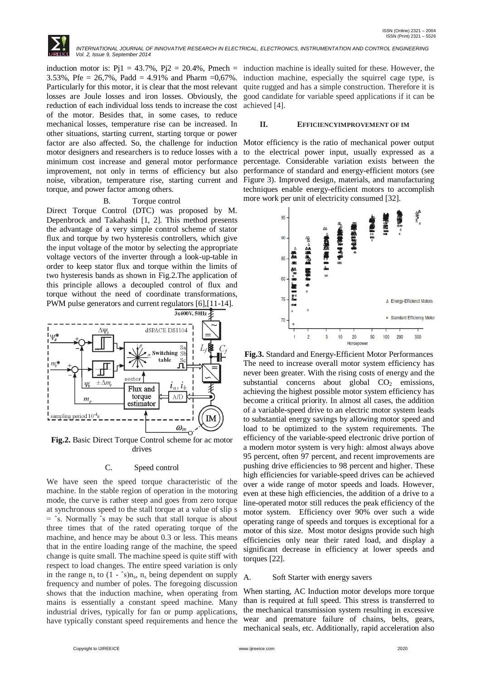

induction motor is:  $Pj1 = 43.7\%$ ,  $Pj2 = 20.4\%$ , Pmech = induction machine is ideally suited for these. However, the 3.53%, Pfe =  $26,7\%$ , Padd =  $4.91\%$  and Pharm = 0,67%. Particularly for this motor, it is clear that the most relevant losses are Joule losses and iron losses. Obviously, the reduction of each individual loss tends to increase the cost of the motor. Besides that, in some cases, to reduce mechanical losses, temperature rise can be increased. In other situations, starting current, starting torque or power factor are also affected. So, the challenge for induction motor designers and researchers is to reduce losses with a minimum cost increase and general motor performance improvement, not only in terms of efficiency but also noise, vibration, temperature rise, starting current and torque, and power factor among others.

#### B. Torque control

Direct Torque Control (DTC) was proposed by M. Depenbrock and Takahashi [1, 2]. This method presents the advantage of a very simple control scheme of stator flux and torque by two hysteresis controllers, which give the input voltage of the motor by selecting the appropriate voltage vectors of the inverter through a look-up-table in order to keep stator flux and torque within the limits of two hysteresis bands as shown in Fig.2.The application of this principle allows a decoupled control of flux and torque without the need of coordinate transformations, PWM pulse generators and current regulators [6],[11-14].



**Fig.2.** Basic Direct Torque Control scheme for ac motor drives

#### C. Speed control

We have seen the speed torque characteristic of the machine. In the stable region of operation in the motoring mode, the curve is rather steep and goes from zero torque at synchronous speed to the stall torque at a value of slip s  $=$   $\hat{S}$ . Normally  $\hat{S}$  may be such that stall torque is about three times that of the rated operating torque of the machine, and hence may be about 0.3 or less. This means that in the entire loading range of the machine, the speed change is quite small. The machine speed is quite stiff with respect to load changes. The entire speed variation is only in the range  $n_s$  to  $(1 - \hat{s})n_s$ ,  $n_s$  being dependent on supply frequency and number of poles. The foregoing discussion shows that the induction machine, when operating from mains is essentially a constant speed machine. Many industrial drives, typically for fan or pump applications, have typically constant speed requirements and hence the

induction machine, especially the squirrel cage type, is quite rugged and has a simple construction. Therefore it is good candidate for variable speed applications if it can be achieved [4].

#### **II. EFFICIENCYIMPROVEMENT OF IM**

Motor efficiency is the ratio of mechanical power output to the electrical power input, usually expressed as a percentage. Considerable variation exists between the performance of standard and energy-efficient motors (see Figure 3). Improved design, materials, and manufacturing techniques enable energy-efficient motors to accomplish more work per unit of electricity consumed [32].



**Fig.3.** Standard and Energy-Efficient Motor Performances The need to increase overall motor system efficiency has never been greater. With the rising costs of energy and the substantial concerns about global  $CO<sub>2</sub>$  emissions, achieving the highest possible motor system efficiency has become a critical priority. In almost all cases, the addition of a variable-speed drive to an electric motor system leads to substantial energy savings by allowing motor speed and load to be optimized to the system requirements. The efficiency of the variable-speed electronic drive portion of a modern motor system is very high: almost always above 95 percent, often 97 percent, and recent improvements are pushing drive efficiencies to 98 percent and higher. These high efficiencies for variable-speed drives can be achieved over a wide range of motor speeds and loads. However, even at these high efficiencies, the addition of a drive to a line-operated motor still reduces the peak efficiency of the motor system. Efficiency over 90% over such a wide operating range of speeds and torques is exceptional for a motor of this size. Most motor designs provide such high efficiencies only near their rated load, and display a significant decrease in efficiency at lower speeds and torques [22].

#### A. Soft Starter with energy savers

When starting, AC Induction motor develops more torque than is required at full speed. This stress is transferred to the mechanical transmission system resulting in excessive wear and premature failure of chains, belts, gears, mechanical seals, etc. Additionally, rapid acceleration also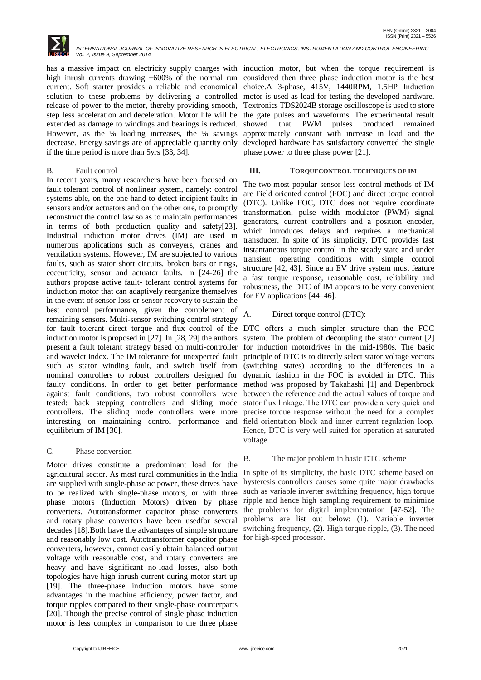

has a massive impact on electricity supply charges with induction motor, but when the torque requirement is high inrush currents drawing +600% of the normal run current. Soft starter provides a reliable and economical solution to these problems by delivering a controlled release of power to the motor, thereby providing smooth, step less acceleration and deceleration. Motor life will be extended as damage to windings and bearings is reduced. However, as the % loading increases, the % savings decrease. Energy savings are of appreciable quantity only if the time period is more than 5yrs [33, 34].

# B. Fault control

In recent years, many researchers have been focused on fault tolerant control of nonlinear system, namely: control systems able, on the one hand to detect incipient faults in sensors and/or actuators and on the other one, to promptly reconstruct the control law so as to maintain performances in terms of both production quality and safety[23]. Industrial induction motor drives (IM) are used in numerous applications such as conveyers, cranes and ventilation systems. However, IM are subjected to various faults, such as stator short circuits, broken bars or rings, eccentricity, sensor and actuator faults. In [24-26] the authors propose active fault- tolerant control systems for induction motor that can adaptively reorganize themselves in the event of sensor loss or sensor recovery to sustain the best control performance, given the complement of remaining sensors. Multi-sensor switching control strategy for fault tolerant direct torque and flux control of the DTC offers a much simpler structure than the FOC induction motor is proposed in [27]. In [28, 29] the authors present a fault tolerant strategy based on multi-controller and wavelet index. The IM tolerance for unexpected fault such as stator winding fault, and switch itself from nominal controllers to robust controllers designed for faulty conditions. In order to get better performance against fault conditions, two robust controllers were tested: back stepping controllers and sliding mode controllers. The sliding mode controllers were more interesting on maintaining control performance and field orientation block and inner current regulation loop. equilibrium of IM [30].

# C. Phase conversion

Motor drives constitute a predominant load for the agricultural sector. As most rural communities in the India are supplied with single-phase ac power, these drives have to be realized with single-phase motors, or with three phase motors (Induction Motors) driven by phase converters. Autotransformer capacitor phase converters and rotary phase converters have been usedfor several decades [18].Both have the advantages of simple structure and reasonably low cost. Autotransformer capacitor phase converters, however, cannot easily obtain balanced output voltage with reasonable cost, and rotary converters are heavy and have significant no-load losses, also both topologies have high inrush current during motor start up [19]. The three-phase induction motors have some advantages in the machine efficiency, power factor, and torque ripples compared to their single-phase counterparts [20]. Though the precise control of single phase induction motor is less complex in comparison to the three phase

considered then three phase induction motor is the best choice.A 3-phase, 415V, 1440RPM, 1.5HP Induction motor is used as load for testing the developed hardware. Textronics TDS2024B storage oscilloscope is used to store the gate pulses and waveforms. The experimental result showed that PWM pulses produced remained approximately constant with increase in load and the developed hardware has satisfactory converted the single phase power to three phase power [21].

## **III. TORQUECONTROL TECHNIQUES OF IM**

The two most popular sensor less control methods of IM are Field oriented control (FOC) and direct torque control (DTC). Unlike FOC, DTC does not require coordinate transformation, pulse width modulator (PWM) signal generators, current controllers and a position encoder, which introduces delays and requires a mechanical transducer. In spite of its simplicity, DTC provides fast instantaneous torque control in the steady state and under transient operating conditions with simple control structure [42, 43]. Since an EV drive system must feature a fast torque response, reasonable cost, reliability and robustness, the DTC of IM appears to be very convenient for EV applications [44–46].

# A. Direct torque control (DTC):

system. The problem of decoupling the stator current [2] for induction motordrives in the mid-1980s. The basic principle of DTC is to directly select stator voltage vectors (switching states) according to the differences in a dynamic fashion in the FOC is avoided in DTC. This method was proposed by Takahashi [1] and Depenbrock between the reference and the actual values of torque and stator flux linkage. The DTC can provide a very quick and precise torque response without the need for a complex Hence, DTC is very well suited for operation at saturated voltage.

# B. The major problem in basic DTC scheme

In spite of its simplicity, the basic DTC scheme based on hysteresis controllers causes some quite major drawbacks such as variable inverter switching frequency, high torque ripple and hence high sampling requirement to minimize the problems for digital implementation [47-52]. The problems are list out below: (1). Variable inverter switching frequency, (2). High torque ripple, (3). The need for high-speed processor.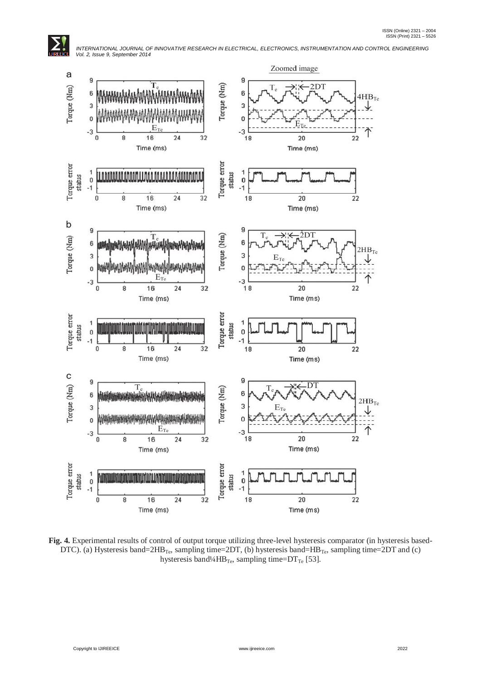*INTERNATIONAL JOURNAL OF INNOVATIVE RESEARCH IN ELECTRICAL, ELECTRONICS, INSTRUMENTATION AND CONTROL ENGINEERING Vol. 2, Issue 9, September 2014*



**Fig. 4.** Experimental results of control of output torque utilizing three-level hysteresis comparator (in hysteresis based-DTC). (a) Hysteresis band=2HB<sub>Te</sub>, sampling time=2DT, (b) hysteresis band=HB<sub>Te</sub>, sampling time=2DT and (c) hysteresis band¼ $HB_{Te}$ , sampling time= $DT_{Te}$  [53].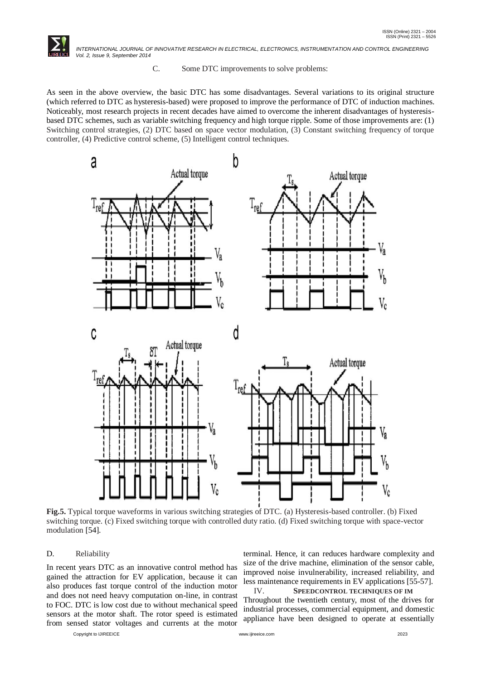

C. Some DTC improvements to solve problems:

As seen in the above overview, the basic DTC has some disadvantages. Several variations to its original structure (which referred to DTC as hysteresis-based) were proposed to improve the performance of DTC of induction machines. Noticeably, most research projects in recent decades have aimed to overcome the inherent disadvantages of hysteresisbased DTC schemes, such as variable switching frequency and high torque ripple. Some of those improvements are: (1) Switching control strategies, (2) DTC based on space vector modulation, (3) Constant switching frequency of torque controller, (4) Predictive control scheme, (5) Intelligent control techniques.



**Fig.5.** Typical torque waveforms in various switching strategies of DTC. (a) Hysteresis-based controller. (b) Fixed switching torque. (c) Fixed switching torque with controlled duty ratio. (d) Fixed switching torque with space-vector modulation [54].

# D. Reliability

In recent years DTC as an innovative control method has gained the attraction for EV application, because it can also produces fast torque control of the induction motor and does not need heavy computation on-line, in contrast to FOC. DTC is low cost due to without mechanical speed sensors at the motor shaft. The rotor speed is estimated from sensed stator voltages and currents at the motor

terminal. Hence, it can reduces hardware complexity and size of the drive machine, elimination of the sensor cable, improved noise invulnerability, increased reliability, and less maintenance requirements in EV applications [55-57].

IV. **SPEEDCONTROL TECHNIQUES OF IM** Throughout the twentieth century, most of the drives for industrial processes, commercial equipment, and domestic appliance have been designed to operate at essentially

Copyright to IJIREEICE [www.ijireeice.com](http://www.ijireeice.com/) 2023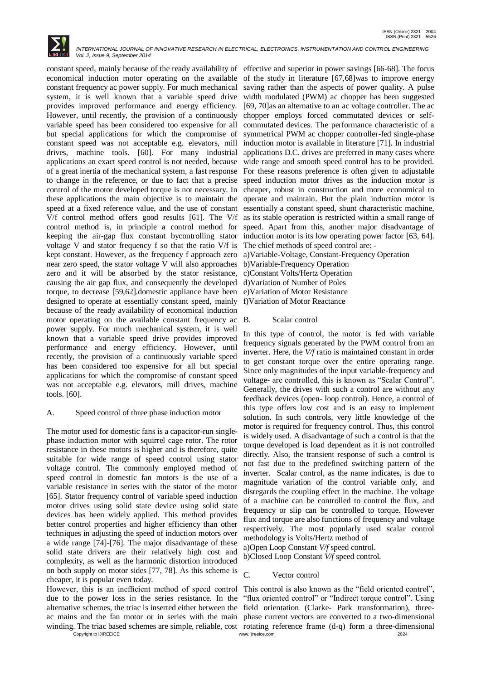

economical induction motor operating on the available constant frequency ac power supply. For much mechanical system, it is well known that a variable speed drive provides improved performance and energy efficiency. However, until recently, the provision of a continuously variable speed has been considered too expensive for all but special applications for which the compromise of constant speed was not acceptable e.g. elevators, mill drives, machine tools. [60]. For many industrial applications an exact speed control is not needed, because of a great inertia of the mechanical system, a fast response to change in the reference, or due to fact that a precise control of the motor developed torque is not necessary. In these applications the main objective is to maintain the speed at a fixed reference value, and the use of constant V/f control method offers good results [61]. The V/f control method is, in principle a control method for keeping the air-gap flux constant bycontrolling stator voltage V and stator frequency f so that the ratio V/f is kept constant. However, as the frequency f approach zero near zero speed, the stator voltage V will also approaches b)Variable-Frequency Operation zero and it will be absorbed by the stator resistance, causing the air gap flux, and consequently the developed torque, to decrease [59,62].domestic appliance have been e)Variation of Motor Resistance designed to operate at essentially constant speed, mainly f)Variation of Motor Reactance because of the ready availability of economical induction motor operating on the available constant frequency ac power supply. For much mechanical system, it is well known that a variable speed drive provides improved performance and energy efficiency. However, until recently, the provision of a continuously variable speed has been considered too expensive for all but special applications for which the compromise of constant speed was not acceptable e.g. elevators, mill drives, machine tools. [60].

#### A. Speed control of three phase induction motor

The motor used for domestic fans is a capacitor-run singlephase induction motor with squirrel cage rotor. The rotor resistance in these motors is higher and is therefore, quite suitable for wide range of speed control using stator voltage control. The commonly employed method of speed control in domestic fan motors is the use of a variable resistance in series with the stator of the motor [65]. Stator frequency control of variable speed induction motor drives using solid state device using solid state devices has been widely applied. This method provides better control properties and higher efficiency than other techniques in adjusting the speed of induction motors over a wide range [74]-[76]. The major disadvantage of these solid state drivers are their relatively high cost and complexity, as well as the harmonic distortion introduced on both supply on motor sides [77, 78]. As this scheme is cheaper, it is popular even today.

However, this is an inefficient method of speed control due to the power loss in the series resistance. In the "flux oriented control" or "Indirect torque control". Using alternative schemes, the triac is inserted either between the field orientation (Clarke- Park transformation), threeac mains and the fan motor or in series with the main phase current vectors are converted to a two-dimensional winding. The triac based schemes are simple, reliable, cost rotating reference frame (d-q) form a three-dimensional

constant speed, mainly because of the ready availability of effective and superior in power savings [66-68]. The focus of the study in literature [67,68]was to improve energy saving rather than the aspects of power quality. A pulse width modulated (PWM) ac chopper has been suggested [69, 70]as an alternative to an ac voltage controller. The ac chopper employs forced commutated devices or selfcommutated devices. The performance characteristic of a symmetrical PWM ac chopper controller-fed single-phase induction motor is available in literature [71]. In industrial applications D.C. drives are preferred in many cases where wide range and smooth speed control has to be provided. For these reasons preference is often given to adjustable speed induction motor drives as the induction motor is cheaper, robust in construction and more economical to operate and maintain. But the plain induction motor is essentially a constant speed, shunt characteristic machine, as its stable operation is restricted within a small range of speed. Apart from this, another major disadvantage of induction motor is its low operating power factor [63, 64]. The chief methods of speed control are: -

- a)Variable-Voltage, Constant-Frequency Operation
- 
- c)Constant Volts/Hertz Operation
- d)Variation of Number of Poles
- -
- B. Scalar control

In this type of control, the motor is fed with variable frequency signals generated by the PWM control from an inverter. Here, the *V/f* ratio is maintained constant in order to get constant torque over the entire operating range. Since only magnitudes of the input variable-frequency and voltage- are controlled, this is known as "Scalar Control". Generally, the drives with such a control are without any feedback devices (open- loop control). Hence, a control of this type offers low cost and is an easy to implement solution. In such controls, very little knowledge of the motor is required for frequency control. Thus, this control is widely used. A disadvantage of such a control is that the torque developed is load dependent as it is not controlled directly. Also, the transient response of such a control is not fast due to the predefined switching pattern of the inverter. Scalar control, as the name indicates, is due to magnitude variation of the control variable only, and disregards the coupling effect in the machine. The voltage of a machine can be controlled to control the flux, and frequency or slip can be controlled to torque. However flux and torque are also functions of frequency and voltage respectively. The most popularly used scalar control methodology is Volts/Hertz method of

a)Open Loop Constant *V/f* speed control. b)Closed Loop Constant *V/f* speed control.

C. Vector control

Copyright to IJIREEICE [www.ijireeice.com](http://www.ijireeice.com/) 2024 This control is also known as the "field oriented control".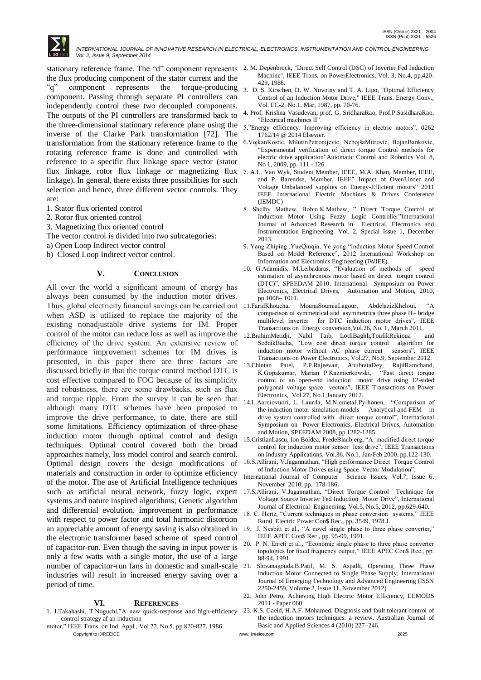stationary reference frame. The "d" component represents 2. M. Depenbrock, "Direct Self Control (DSC) of Inverter Fed Induction the flux producing component of the stator current and the "q" component represents the torque-producing component. Passing through separate PI controllers can independently control these two decoupled components. The outputs of the PI controllers are transformed back to the three-dimensional stationary reference plane using the inverse of the Clarke Park transformation [72]. The transformation from the stationary reference frame to the rotating reference frame is done and controlled with reference to a specific flux linkage space vector (stator flux linkage, rotor flux linkage or magnetizing flux 7. A.L. Van Wyk, Student Member, IEEE, M.A. Khan, Member, IEEE, linkage). In general, there exists three possibilities for such selection and hence, three different vector controls. They are:

- 1. Stator flux oriented control
- 2. Rotor flux oriented control
- 3. Magnetizing flux oriented control
- The vector control is divided into two subcategories:
- a) Open Loop Indirect vector control
- b) Closed Loop Indirect vector control.

#### **V. CONCLUSION**

All over the world a significant amount of energy has always been consumed by the induction motor drives. Thus, global electricity financial savings can be carried out when ASD is utilized to replace the majority of the existing nonadjustable drive systems for IM. Proper control of the motor can reduce loss as well as improve the efficiency of the drive system. An extensive review of performance improvement schemes for IM drives is presented, in this paper there are three factors are discussed briefly in that the torque control method DTC is cost effective compared to FOC because of its simplicity and robustness, there are some drawbacks, such as flux and torque ripple. From the survey it can be seen that although many DTC schemes have been proposed to improve the drive performance, to date, there are still some limitations. Efficiency optimization of three-phase induction motor through optimal control and design techniques. Optimal control covered both the broad approaches namely, loss model control and search control. Optimal design covers the design modifications of 16.S.Allirani, V.Jagannathan, "High performance Direct Torque Control materials and construction in order to optimize efficiency of the motor. The use of Artificial Intelligence techniques such as artificial neural network, fuzzy logic, expert 17.S.Allirani, V.Jagannathan, "Direct Torque Control Technique for systems and nature inspired algorithms; Genetic algorithm and differential evolution. improvement in performance with respect to power factor and total harmonic distortion an appreciable amount of energy saving is also obtained in the electronic transformer based scheme of speed control of capacitor-run. Even though the saving in input power is only a few watts with a single motor, the use of a large number of capacitor-run fans in domestic and small-scale 21. Shivanagouda.B.Patil, M. S. Aspalli, Operating Three Phase industries will result in increased energy saving over a period of time.

#### **VI. REFERENCES**

- 1. I.Takahashi, T.Noguchi,"A new quick-response and high-efficiency control strategy af an induction
- Copyright to IJIREEICE [www.ijireeice.com](http://www.ijireeice.com/) 2025 motor,‖ IEEE Trans. on Ind. Appl., Vol.22, No.5, pp.820-827, 1986.
- Machine", IEEE Trans. on PowerElectronics, Vol. 3, No.4, pp.420- 429, 1988.
- 3. D. S. Kirschen, D. W. Novotny and T. A. Lipo, "Optimal Efficiency Control of an Induction Motor Drive," IEEE Trans. Energy Conv., Vol. EC-2, No.1, Mar, 1987, pp. 70-76.
- 4. Prof. Krishna Vasudevan, prof. G. SridharaRao, Prof.P.SasidharaRao, "Electrical machines II".
- 5."Energy efficiency: Improving efficiency in electric motors", 0262 1762/14 @ 2014 Elsevier.
- 6.VojkanKostic, MilutinPetronijevic, NebojšaMitrovic, BojanBankovic, ―Experimental verification of direct torque Control methods for electric drive application"Automatic Control and Robotics Vol. 8, No 1, 2009, pp. 111 - 126
- and P. Barendse, Member, IEEE" Impact of Over/Under and Voltage Unbalanced supplies on Energy-Efficient motors" 2011 IEEE International Electric Machines & Drives Conference (IEMDC)
- 8. Shelby Mathew, Bobin.K.Mathew, " Direct Torque Control of Induction Motor Using Fuzzy Logic Controller"International Journal of Advanced Research in Electrical, Electronics and Instrumentation Engineering. Vol. 2, Special Issue 1, December 2013.
- 9. Yang Zhiping , YueQiuqin, Ye yong "Induction Motor Speed Control Based on Model Reference", 2012 International Workshop on Information and Electronics Engineering (IWIEE).
- 10. G.Adamidis, M.Leibadaras, "Evaluation of methods of speed estimation of asynchronous motor based on direct torque control (DTC)", SPEEDAM 2010, International Symposium on Power Electronics, Electrical Drives, Automation and Motion, 2010, pp.1008– 1011.
- 11.FaridKhoucha, MounaSoumiaLagour, AbdelazizKheloui, "A comparison of symmetrical and asymmetrica three phase H– bridge multilevel inverter for DTC induction motor drives", IEEE Transactions on Energy conversion,Vol.26, No. 1, March 2011.
- 12.BrahimMetidji, Nabil Taib, LotfiBaghli,ToufikRekioua and SeddikBacha, "Low cost direct torque control algorithm for induction motor without AC phase current sensors", IEEE Transactions on Power Electronics, Vol.27, No.9, September 2012.
- 13.Chintan Patel, P.P.Rajeevan, AnubrataDey, RajilRamchand, K.Gopakumar, Marian P.Kazmierkowski, "Fast direct torque control of an open-end induction motor drive using 12-sided polygonal voltage space vectors", IEEE Transactions on Power Electronics, Vol.27, No.1,January 2012.
- 14.L.Aarniovuori, L. Laurila, M.NiemetaJ.Pyrhonen, "Comparison of the induction motor simulation models – Analytical and FEM – in drive system controlled with direct torque control", International Symposium on Power Electronics, Electrical Drives, Automation and Motion, SPEEDAM 2008, pp.1282-1285.
- 15.CristianLascu, Ion Boldea, FredeBlaabjerg, "A modified direct torque control for induction motor sensor less drive", IEEE Transactions on Industry Applications, Vol.36, No.1, Jan/Feb 2000, pp.122-130.
- of Induction Motor Drives using Space Vector Modulation",
- International Journal of Computer Science Issues, Vol.7, Issue 6, November 2010, pp. 178-186.
- Voltage Source Inverter Fed Induction Motor Drive", International Journal of Electrical Engineering, Vol.5, No.5, 2012, pp.629-640.
- 18. C. Hertz, "Current techniques in phase conversion systems," IEEE Rural Electric Power Con\$ Rec., pp. 3549, 1978.J.
- J. Nesbitt et al., "A novel single phase to three phase converter," IEEE APEC Con\$ Rec., pp. 95-99, 1991.
- P. N. Enjeti et al., "Economic single phase to three phase converter topologies for fixed frequency output," IEEE APEC Con\$ Rec., pp. 88-94, 1991.
- Induction Motor Connected to Single Phase Supply, International Journal of Emerging Technology and Advanced Engineering (ISSN 2250-2459, Volume 2, Issue 11, November 2012)
- 22. John Petro, Achieving High Electric Motor Efficiency, EEMODS 2011 - Paper 060
- 23. K.S. Gaeid, H.A.F. Mohamed, Diagnosis and fault tolerant control of the induction motors techniques: a review, Australian Journal of Basic and Applied Sciences 4 (2010) 227–246.